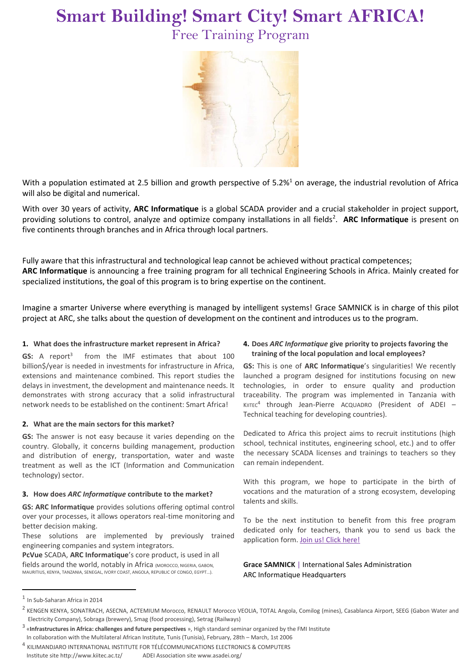# **Smart Building! Smart City! Smart AFRICA!**

Free Training Program



With a population estimated at 2.5 billion and growth perspective of  $5.2\%$ <sup>1</sup> on average, the industrial revolution of Africa will also be digital and numerical.

With over 30 years of activity, **ARC Informatique** is a global SCADA provider and a crucial stakeholder in project support, providing solutions to control, analyze and optimize company installations in all fields<sup>2</sup>. ARC Informatique is present on five continents through branches and in Africa through local partners.

Fully aware that this infrastructural and technological leap cannot be achieved without practical competences; **ARC Informatique** is announcing a free training program for all technical Engineering Schools in Africa. Mainly created for specialized institutions, the goal of this program is to bring expertise on the continent.

Imagine a smarter Universe where everything is managed by intelligent systems! Grace SAMNICK is in charge of this pilot project at ARC, she talks about the question of development on the continent and introduces us to the program.

#### **1. What does the infrastructure market represent in Africa?**

GS: A report<sup>3</sup> from the IMF estimates that about 100 billion\$/year is needed in investments for infrastructure in Africa, extensions and maintenance combined. This report studies the delays in investment, the development and maintenance needs. It demonstrates with strong accuracy that a solid infrastructural network needs to be established on the continent: Smart Africa!

#### **2. What are the main sectors for this market?**

**GS:** The answer is not easy because it varies depending on the country. Globally, it concerns building management, production and distribution of energy, transportation, water and waste treatment as well as the ICT (Information and Communication technology) sector.

#### **3. How does** *ARC Informatique* **contribute to the market?**

**GS: ARC Informatique** provides solutions offering optimal control over your processes, it allows operators real-time monitoring and better decision making.

These solutions are implemented by previously trained engineering companies and system integrators.

**PcVue** SCADA, **ARC Informatique**'s core product, is used in all fields around the world, notably in Africa (MOROCCO, NIGERIA, GABON, MAURITIUS, KENYA, TANZANIA, SENEGAL, IVORY COAST, ANGOLA, REPUBLIC OF CONGO, EGYPT…).

#### **4. Does** *ARC Informatique* **give priority to projects favoring the training of the local population and local employees?**

**GS:** This is one of **ARC Informatique**'s singularities! We recently launched a program designed for institutions focusing on new technologies, in order to ensure quality and production traceability. The program was implemented in Tanzania with KIITEC<sup>4</sup> through Jean-Pierre ACQUADRO (President of ADEI -Technical teaching for developing countries).

Dedicated to Africa this project aims to recruit institutions (high school, technical institutes, engineering school, etc.) and to offer the necessary SCADA licenses and trainings to teachers so they can remain independent.

With this program, we hope to participate in the birth of vocations and the maturation of a strong ecosystem, developing talents and skills.

To be the next institution to benefit from this free program dedicated only for teachers, thank you to send us back the application form. Join us! Click here!

**Grace SAMNICK** | International Sales Administration ARC Informatique Headquarters

 $\overline{a}$ 

Institute sit[e http://www.kiitec.ac.tz/](http://www.kiitec.ac.tz/) ADEI Association sit[e www.asadei.org/](http://www.asadei.org/)

 $<sup>1</sup>$  In Sub-Saharan Africa in 2014</sup>

<sup>&</sup>lt;sup>2</sup> KENGEN KENYA, SONATRACH, ASECNA, ACTEMIUM Morocco, RENAULT Morocco VEOLIA, TOTAL Angola, Comilog (mines), Casablanca Airport, SEEG (Gabon Water and Electricity Company), Sobraga (brewery), Smag (food processing), Setrag (Railways)

<sup>3</sup> «**Infrastructures in Africa: challenges and future perspectives** », High standard seminar organized by the FMI Institute In collaboration with the Multilateral African Institute, Tunis (Tunisia), February, 28th – March, 1st 2006

<sup>4</sup> KILIMANDJARO INTERNATIONAL INSTITUTE FOR TÉLÉCOMMUNICATIONS ELECTRONICS & COMPUTERS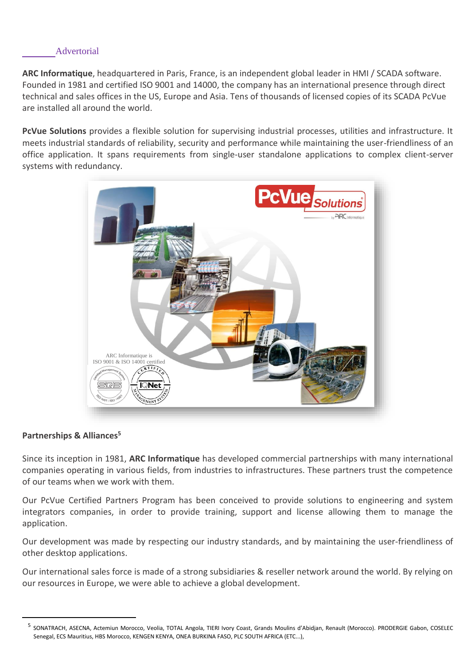## Advertorial

**ARC Informatique**, headquartered in Paris, France, is an independent global leader in HMI / SCADA software. Founded in 1981 and certified ISO 9001 and 14000, the company has an international presence through direct technical and sales offices in the US, Europe and Asia. Tens of thousands of licensed copies of its SCADA PcVue are installed all around the world.

**PcVue Solutions** provides a flexible solution for supervising industrial processes, utilities and infrastructure. It meets industrial standards of reliability, security and performance while maintaining the user-friendliness of an office application. It spans requirements from single-user standalone applications to complex client-server systems with redundancy.



### **Partnerships & Alliances<sup>5</sup>**

 $\overline{a}$ 

Since its inception in 1981, **ARC Informatique** has developed commercial partnerships with many international companies operating in various fields, from industries to infrastructures. These partners trust the competence of our teams when we work with them.

Our PcVue Certified Partners Program has been conceived to provide solutions to engineering and system integrators companies, in order to provide training, support and license allowing them to manage the application.

Our development was made by respecting our industry standards, and by maintaining the user-friendliness of other desktop applications.

Our international sales force is made of a strong subsidiaries & reseller network around the world. By relying on our resources in Europe, we were able to achieve a global development.

<sup>&</sup>lt;sup>5</sup> SONATRACH, ASECNA, Actemiun Morocco, Veolia, TOTAL Angola, TIERI Ivory Coast, Grands Moulins d'Abidjan, Renault (Morocco). PRODERGIE Gabon, COSELEC Senegal, ECS Mauritius, HBS Morocco, KENGEN KENYA, ONEA BURKINA FASO, PLC SOUTH AFRICA (ETC...),